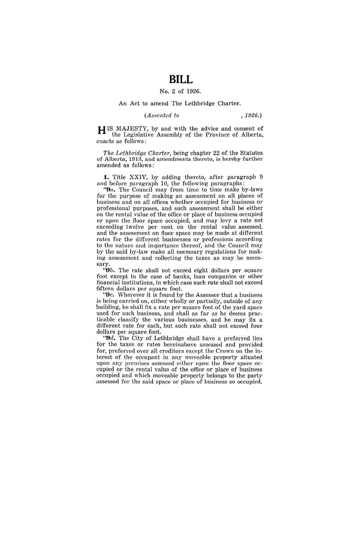# **BILL**

### No.2 of 1926.

### An Act to amend The Lethbridge Charter.

# *(Assented to* ,1926.)

H IS MAJESTY, by and with the advice and consent of the Legislative Assembly of the Province of Alberta, enacts as follows;

*The Lethbridge Charte'r,* being chapter 22 of the Statutes of Alberta, 1913, and amendments thereto, is hereby further amended as follows:

1. Title XXIV, by adding thereto, after paragraph 9 and before paragraph 10, the following paragraphs:

*"9a.* The Council may from time to time make by-laws for the purpose of making an assessment on all places of business and on all offices whether occupied for business or professional purposes, and such assessment shall be either on the rental value of the office or place of business occupied or upon the floor space occupied, and may levy a rate not exceeding twelve per cent on the rental value assessed, and the assessment on fioor space may be made at different rates for the different businesses or professions according to the nature and importance thereof, and the Council may by the said by-law make all necessary regulations for making assessment and collecting the taxes as may be necessary.

*"9b.* The rate shall not exceed eight dollars per square foot except in the case of banks, loan companies or other financial institutions, in which case such rate shall not exceed fifteen dollars per square foot.

**"9c.** Wherever it is found by the Assessor that a business is being carried on, either wholly or partially, outside of any building, he shall fix a rate per square foot of the yard space used for such business, and shall as far as he deems practicable classify the various businesses, and he may fix a different rate for each, but such rate shall not exceed four dollars per square foot.

*"9d.* The City, of Lethbridge shall have a preferred lien for the taxes or rates hereinabove assessed and provided for, preferred over all creditors except the Crown on the interest of the occupant in any moveable property situated upon any premises assessed either upon the floor space occupied or the rental value of the office or place of business occupied and which moveable property belongs to the party assessed for the said space or place of business so occupied.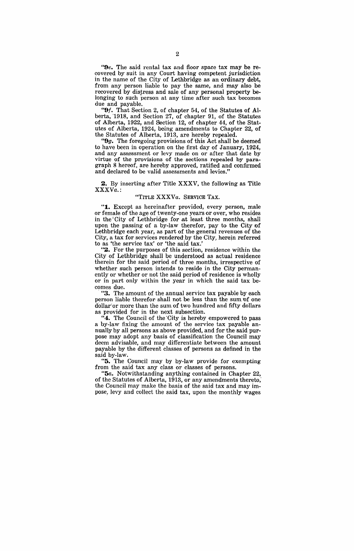*"Oe.* The said rental tax and floor space tax may be recovered by suit in any Court having competent jurisdiction in the name of the City of Lethbridge as an ordinary debt, from any person liable to pay the same, and may also be recovered by distress and sale of any personal property belonging to such person at any time after such tax becomes due and payable.

"Of. That Section 2, of chapter 54, of the Statutes of Alberta, '1918, and Section 27, of chapter 91, of the Statutes of Alberta, 1922, and Section 12, of chapter 44, of the Statutes of Alberta, 1924, being amendments to Chapter 22, of the Statutes of Alberta, 1913, are hereby repealed.

*"Og.* The foregoing provisions of this Act shall be deemed to have been in operation on the first day of January, 1924, and any assessment or levy made on or after that date by virtue of the provisions of the sections repealed by paragraph 8 hereof, are hereby approved, ratified and confirmed and declared to be valid assessments and levies."

**2.** By inserting after Title XXXV, the following as Title XXXVa.:

## "TITLE XXXVa. SERVICE TAX.

"1. Except as hereinafter provided, every person, male or female of the age of twenty-one years or over, who resides in the City of Lethbridge for at least three months, shall upon the passing of a by-law therefor, pay to the City of Lethbridge each year, as part of the general revenues of the City, a tax for services rendered by the City, herein referred to as 'the service tax' or 'the said tax.'

"2. For the purposes of this section, residence within the City of Lethbridge shall be understood as actual residence therein for the said period of three months, irrespective of whether such person intends to reside in the City permanently or whether or not the said period of residence is wholly or in part only within the year in which the said tax be-

"3. The amount of the annual service tax payable by each person liable therefor shall not be less than the sum of one dollar'or more than the sum of two hundred and fifty dollars as provided for in the next subsection.

"4. The Council of the 'City is hereby empowered to pass a by-law fixing the amount of the service tax payable annually by all persons as above provided, and for the said purpose may adopt any basis of classification the Council may deem advisable, and may differentiate between the amount payable by the different classes of persons as defined in the said by-law.

"5. The Council may by by-law provide for exempting from the said tax any class or classes of persons.

*"5a.* Notwithstanding anything contained in Chapter 22, of the Statutes of Alberta, 1913, or any amendments thereto; the Council may make the basis of the said tax and may impose, levy and collect the said tax, upon the monthly wages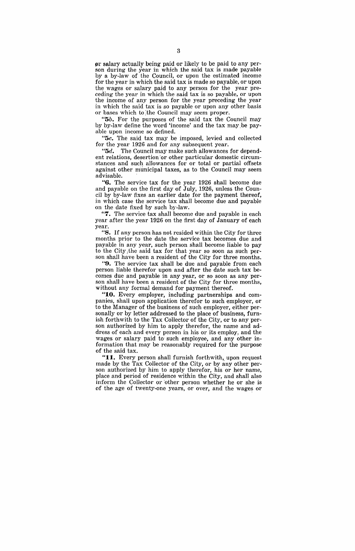pr salary actually being paid or likely to be paid to any person during the year in which the said tax is made payable by a by-law of the Council, or upon the estimated income for the year in which the said tax is made so payable, or upon the wages or salary paid to any person for the year preceding the year in which the said tax is so payable, or upon the income of any person for the year preceding the year in which the said tax is so payable or upon any other basis or bases which to ;the Council may seem proper.

*"5b.* For the purposes of the said tax the Council may by by-law define the word 'income' and the tax may;be payable upon income so defined.

*"5c.* The said tax may be imposed, levied and collected for the year 1926 and for any subsequent year.

*"5d.* The Council may make such allowances for dependent relations, desertion 'or other particular domestic circumstances and such allowances for or total or partial offsets against other municipal taxes, as to the Council may seem advisable. '

"6. The service tax for the year 1926 shall become due and payable on the first day of July, 1926, unless the Council by by-law fixes an earlier date for the payment thereof, in which case the service tax shall become due and payable on the date fixed by such by-law.

"7. The service tax shall become due and payable in each year after the year 1926 on the first day of January of each year.

"8. If any person has not resided within the City for three months prior to the date the service tax becomes due and payable in any year, such person shall become liable to pay to the City the said tax for that year so soon as such person shall have been a resident of the City for three months.

"9. The service tax shall be due and payable from each person liable therefor upon and after the date such tax becomes due and payable in any year, or so soon as any person shall have been a resident of the City for three months, without any formal demand for payment thereof.

"10. Every employer, including partnerships and companies, shall upon application therefor to such employer, or to the Manager of the business of such employer, either personally or by letter addressed to the place of business, furnish forthwith to the Tax Collector of the City, or to any person authorized by him to apply therefor, the name and address of each and every person in his or its employ, and the wages or salary paid to such employee, and any other information that may be reasonably required for the purpose of the said tax.

"11. Every person shall furnish forthwith, upon request made by the Tax Collector of the City, or by any other person authorized by him to apply therefor, his or her name, place and period of residence within the City, and shall also inform the Collector or 'other person whether he or she is of the age of twenty-one years, or over, and the wages or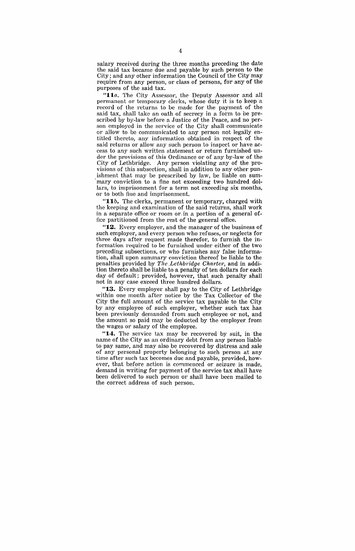salary received during the three months preceding the date the said tax became due and payable by such person to the City; and any other information the Council of the City may require from any person, or class of persons, for any of the purposes of the said tax.

"11a. The City Assessor, the Deputy Assessor and all permanent or temporary clerks, whose duty it is to keep·a record of the returns to be made for the payment of the said tax, shall take an oath of secrecy in a form to be prescribed by by-law before a Justice of the Peace, and no person employed in the service of the City shall communicate or allow to be communicated to any person not legally entitled thereto, any information obtained in respect of the said returns or allow any such person to inspect or have access to any such written statement or return furnished under the provisions of this Ordinance or of any by-law of the City of Lethbridge. Any person violating any of the provisions of this subsection, shall in addition to any other punishment that may be prescribed by law, be liable on sum mary conviction to a fine not exceeding two hundred dollars, to imprisonment for a term not exceeding six months, or to both fine and imprisonment.

"11b. The clerks, permanent or temporary, charged with the keeping and examination of the said returns, shall work in a separate office or room or, in a portion of a general office partitioned from the rest of the general office.

"12. Every employer, and the manager of the business of such employer, and every person who refuses, or neglects for three days after request made therefor, to furnish the information required to be furnished under either of the two preceding subsections, or who furnishes any false information, shall upon summary conviction thereof be liable to the penalties provided by *The .Lethbridge Charter*, and in addition thereto shall be liable to a penalty of ten dollars for each day of default; provided, however, that such penalty shall not in any case exceed three hundred dollars.

"13. Every employer shall pay to the City of Lethbridge within one month after notice by the Tax Collector of the City the full amount of the service tax payable to the City by any employee of such employer, whether such tax has been previously demanded from such employee or not, and the amount so paid may be .deducted by the employer from the wages or salary of the employee.

"14. The service tax may be recovered by suit, in the name of the City as an ordinary debt from any person liable to pay same, and may also be recovered by distress and sale of any personal property belonging to such person at any time after such tax becomes due and payable, provided, however, that before action is commenced or seizure is made. demand in writing for payment of the service tax shall have been delivered to such person or shall have been mailed to the correct address of such person.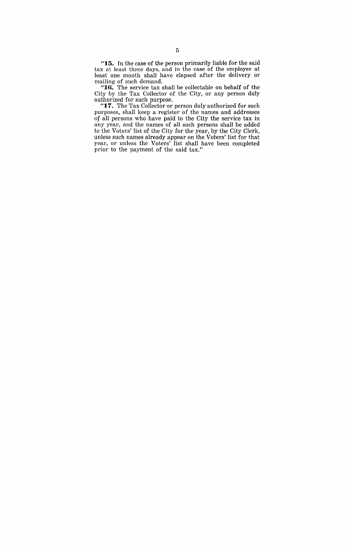**"15. In** the case of the person primarily liable for the said tax at least three days, and in the case of the employer at least one month shall have elapsed after the delivery or mailing of such demand.

**"16.** The service tax shall be collectable on behalf of the City by the Tax Collector of the City, or any person duly authorized for such purpose.

"17. The Tax Collector or person duly authorized for such purposes, shall keep a register of the names and addresses of all persons who have paid to the City the service tax in any year, and the names of all such persons shall be added to the Voters' list of the City for the year, by the City Clerk, unless such names already appear on the Voters' list for that year, or unless the Voters' list shall have been completed prior to the payment of the said tax."